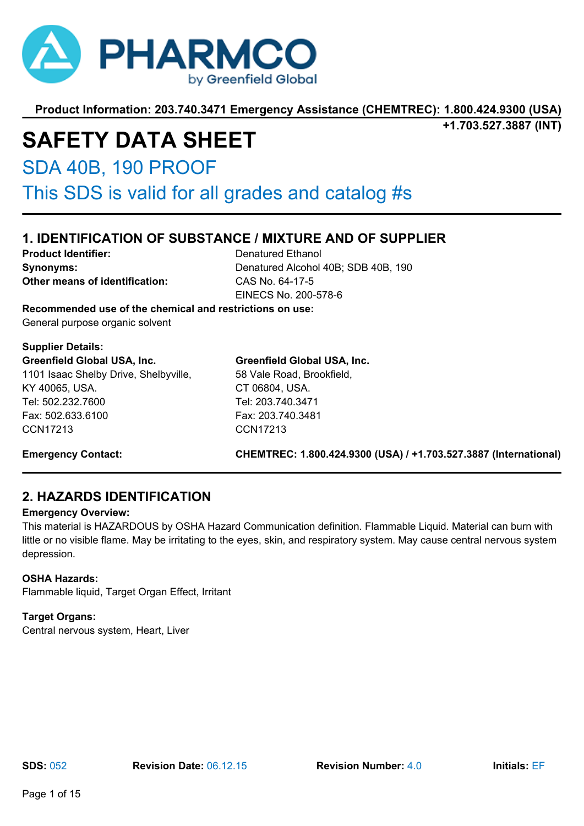

**+1.703.527.3887 (INT)**

# **SAFETY DATA SHEET**

SDA 40B, 190 PROOF

This SDS is valid for all grades and catalog #s

# **1. IDENTIFICATION OF SUBSTANCE / MIXTURE AND OF SUPPLIER**

**Product Identifier:** Denatured Ethanol **Other means of identification:** CAS No. 64-17-5

**Synonyms:** Denatured Alcohol 40B; SDB 40B, 190 EINECS No. 200-578-6

**Recommended use of the chemical and restrictions on use:**

General purpose organic solvent

## **Supplier Details:**

**Greenfield Global USA, Inc.** 1101 Isaac Shelby Drive, Shelbyville, KY 40065, USA. Tel: 502.232.7600 Fax: 502.633.6100 CCN17213

#### **Greenfield Global USA, Inc.**

58 Vale Road, Brookfield, CT 06804, USA. Tel: 203.740.3471 Fax: 203.740.3481 CCN17213

**Emergency Contact: CHEMTREC: 1.800.424.9300 (USA) / +1.703.527.3887 (International)**

### **2. HAZARDS IDENTIFICATION**

#### **Emergency Overview:**

This material is HAZARDOUS by OSHA Hazard Communication definition. Flammable Liquid. Material can burn with little or no visible flame. May be irritating to the eyes, skin, and respiratory system. May cause central nervous system depression.

#### **OSHA Hazards:**

Flammable liquid, Target Organ Effect, Irritant

#### **Target Organs:**

Central nervous system, Heart, Liver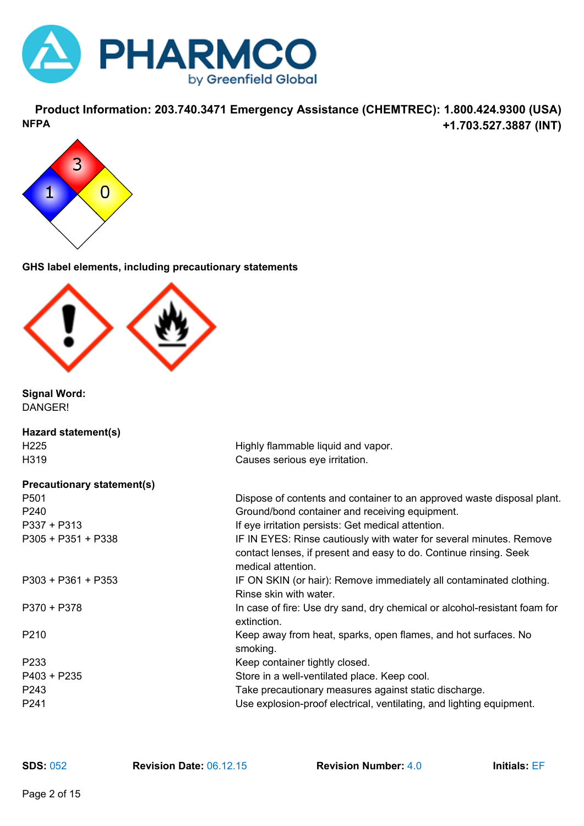

**Product Information: 203.740.3471 Emergency Assistance (CHEMTREC): 1.800.424.9300 (USA) +1.703.527.3887 (INT) NFPA**



**GHS label elements, including precautionary statements**



**Signal Word:** DANGER!

| Hazard statement(s)               |                                                                                                                                                                |
|-----------------------------------|----------------------------------------------------------------------------------------------------------------------------------------------------------------|
| H <sub>225</sub>                  | Highly flammable liquid and vapor.                                                                                                                             |
| H319                              | Causes serious eye irritation.                                                                                                                                 |
| <b>Precautionary statement(s)</b> |                                                                                                                                                                |
| P <sub>501</sub>                  | Dispose of contents and container to an approved waste disposal plant.                                                                                         |
| P <sub>240</sub>                  | Ground/bond container and receiving equipment.                                                                                                                 |
| $P337 + P313$                     | If eye irritation persists: Get medical attention.                                                                                                             |
| P305 + P351 + P338                | IF IN EYES: Rinse cautiously with water for several minutes. Remove<br>contact lenses, if present and easy to do. Continue rinsing. Seek<br>medical attention. |
| $P303 + P361 + P353$              | IF ON SKIN (or hair): Remove immediately all contaminated clothing.<br>Rinse skin with water.                                                                  |
| P370 + P378                       | In case of fire: Use dry sand, dry chemical or alcohol-resistant foam for<br>extinction.                                                                       |
| P <sub>210</sub>                  | Keep away from heat, sparks, open flames, and hot surfaces. No<br>smoking.                                                                                     |
| P233                              | Keep container tightly closed.                                                                                                                                 |
| $P403 + P235$                     | Store in a well-ventilated place. Keep cool.                                                                                                                   |
| P243                              | Take precautionary measures against static discharge.                                                                                                          |
| P241                              | Use explosion-proof electrical, ventilating, and lighting equipment.                                                                                           |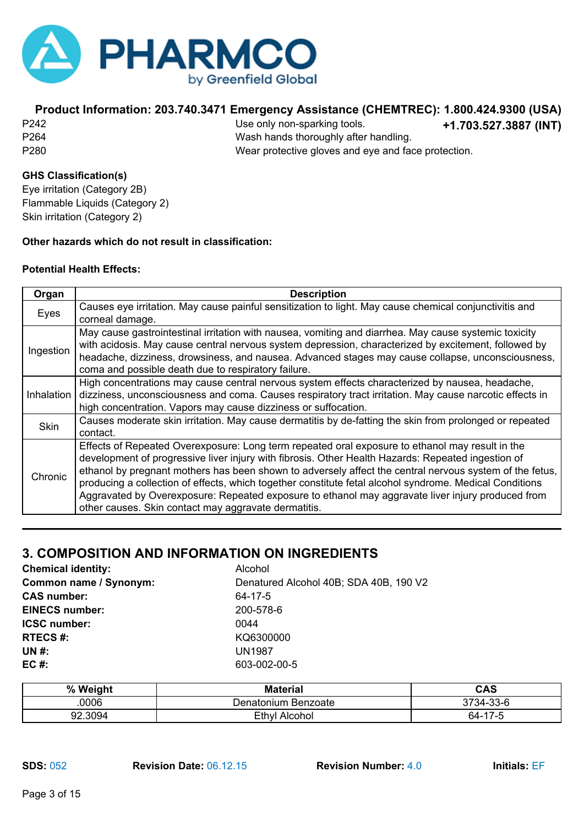

**+1.703.527.3887 (INT)** P242 Use only non-sparking tools. P264 Wash hands thoroughly after handling. P280 Wear protective gloves and eye and face protection.

### **GHS Classification(s)**

Eye irritation (Category 2B) Flammable Liquids (Category 2) Skin irritation (Category 2)

#### **Other hazards which do not result in classification:**

#### **Potential Health Effects:**

| Organ             | <b>Description</b>                                                                                                                                                                                                                                                                                                                                                                                                                                                                                                                                                                       |
|-------------------|------------------------------------------------------------------------------------------------------------------------------------------------------------------------------------------------------------------------------------------------------------------------------------------------------------------------------------------------------------------------------------------------------------------------------------------------------------------------------------------------------------------------------------------------------------------------------------------|
| Eyes              | Causes eye irritation. May cause painful sensitization to light. May cause chemical conjunctivitis and<br>corneal damage.                                                                                                                                                                                                                                                                                                                                                                                                                                                                |
| Ingestion         | May cause gastrointestinal irritation with nausea, vomiting and diarrhea. May cause systemic toxicity<br>with acidosis. May cause central nervous system depression, characterized by excitement, followed by<br>headache, dizziness, drowsiness, and nausea. Advanced stages may cause collapse, unconsciousness,<br>coma and possible death due to respiratory failure.                                                                                                                                                                                                                |
| <b>Inhalation</b> | High concentrations may cause central nervous system effects characterized by nausea, headache,<br>dizziness, unconsciousness and coma. Causes respiratory tract irritation. May cause narcotic effects in<br>high concentration. Vapors may cause dizziness or suffocation.                                                                                                                                                                                                                                                                                                             |
| <b>Skin</b>       | Causes moderate skin irritation. May cause dermatitis by de-fatting the skin from prolonged or repeated<br>contact.                                                                                                                                                                                                                                                                                                                                                                                                                                                                      |
| Chronic           | Effects of Repeated Overexposure: Long term repeated oral exposure to ethanol may result in the<br>development of progressive liver injury with fibrosis. Other Health Hazards: Repeated ingestion of<br>ethanol by pregnant mothers has been shown to adversely affect the central nervous system of the fetus,<br>producing a collection of effects, which together constitute fetal alcohol syndrome. Medical Conditions<br>Aggravated by Overexposure: Repeated exposure to ethanol may aggravate liver injury produced from<br>other causes. Skin contact may aggravate dermatitis. |

### **3. COMPOSITION AND INFORMATION ON INGREDIENTS**

| <b>Chemical identity:</b> | Alcohol                                |
|---------------------------|----------------------------------------|
| Common name / Synonym:    | Denatured Alcohol 40B; SDA 40B, 190 V2 |
| <b>CAS number:</b>        | $64 - 17 - 5$                          |
| <b>EINECS number:</b>     | 200-578-6                              |
| <b>ICSC number:</b>       | 0044                                   |
| <b>RTECS#:</b>            | KQ6300000                              |
| <b>UN#:</b>               | <b>UN1987</b>                          |
| EC $#$ :                  | 603-002-00-5                           |
|                           |                                        |

| % Weight | <b>Material</b>      | <b>CAS</b>  |
|----------|----------------------|-------------|
| 0006     | Denatonium Benzoate  | 3734-33-6   |
| 92.3094  | <b>Ethyl Alcohol</b> | 47<br>$64-$ |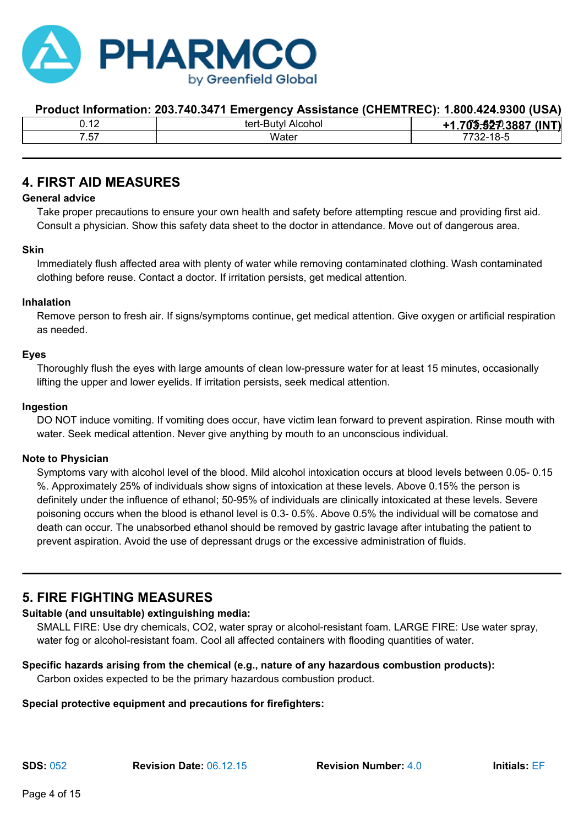

| $\sim$<br>v. 14  | teri<br><b>AICONO</b> | $-75.250000$<br>(INT)<br>∙ാ−െ<br>$-1$<br>               |
|------------------|-----------------------|---------------------------------------------------------|
| 7.57<br>-<br>، ب | .<br>Water            | <b>40</b><br>1 O-<br>∵ ⊃د .<br>$\overline{\phantom{a}}$ |
|                  |                       |                                                         |

### **4. FIRST AID MEASURES**

#### **General advice**

Take proper precautions to ensure your own health and safety before attempting rescue and providing first aid. Consult a physician. Show this safety data sheet to the doctor in attendance. Move out of dangerous area.

#### **Skin**

Immediately flush affected area with plenty of water while removing contaminated clothing. Wash contaminated clothing before reuse. Contact a doctor. If irritation persists, get medical attention.

#### **Inhalation**

Remove person to fresh air. If signs/symptoms continue, get medical attention. Give oxygen or artificial respiration as needed.

#### **Eyes**

Thoroughly flush the eyes with large amounts of clean low-pressure water for at least 15 minutes, occasionally lifting the upper and lower eyelids. If irritation persists, seek medical attention.

#### **Ingestion**

DO NOT induce vomiting. If vomiting does occur, have victim lean forward to prevent aspiration. Rinse mouth with water. Seek medical attention. Never give anything by mouth to an unconscious individual.

#### **Note to Physician**

Symptoms vary with alcohol level of the blood. Mild alcohol intoxication occurs at blood levels between 0.05- 0.15 %. Approximately 25% of individuals show signs of intoxication at these levels. Above 0.15% the person is definitely under the influence of ethanol; 50-95% of individuals are clinically intoxicated at these levels. Severe poisoning occurs when the blood is ethanol level is 0.3- 0.5%. Above 0.5% the individual will be comatose and death can occur. The unabsorbed ethanol should be removed by gastric lavage after intubating the patient to prevent aspiration. Avoid the use of depressant drugs or the excessive administration of fluids.

### **5. FIRE FIGHTING MEASURES**

#### **Suitable (and unsuitable) extinguishing media:**

SMALL FIRE: Use dry chemicals, CO2, water spray or alcohol-resistant foam. LARGE FIRE: Use water spray, water fog or alcohol-resistant foam. Cool all affected containers with flooding quantities of water.

#### **Specific hazards arising from the chemical (e.g., nature of any hazardous combustion products):**

Carbon oxides expected to be the primary hazardous combustion product.

#### **Special protective equipment and precautions for firefighters:**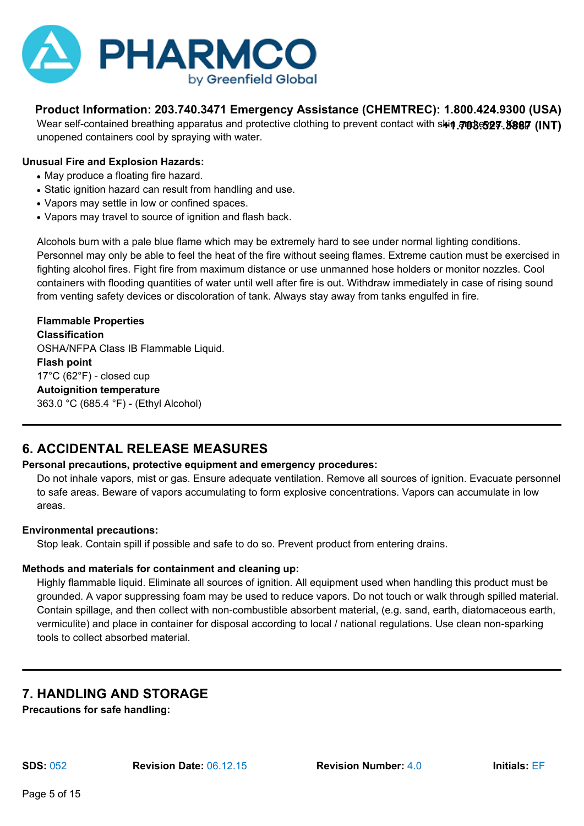

Wear self-contained breathing apparatus and protective clothing to prevent contact with s**kin** *a***nd39527.5887 (INT)** unopened containers cool by spraying with water.

#### **Unusual Fire and Explosion Hazards:**

- May produce a floating fire hazard.
- Static ignition hazard can result from handling and use.
- Vapors may settle in low or confined spaces.
- Vapors may travel to source of ignition and flash back.

Alcohols burn with a pale blue flame which may be extremely hard to see under normal lighting conditions. Personnel may only be able to feel the heat of the fire without seeing flames. Extreme caution must be exercised in fighting alcohol fires. Fight fire from maximum distance or use unmanned hose holders or monitor nozzles. Cool containers with flooding quantities of water until well after fire is out. Withdraw immediately in case of rising sound from venting safety devices or discoloration of tank. Always stay away from tanks engulfed in fire.

**Flammable Properties Classification** OSHA/NFPA Class IB Flammable Liquid. **Flash point** 17°C (62°F) - closed cup **Autoignition temperature** 363.0 °C (685.4 °F) - (Ethyl Alcohol)

### **6. ACCIDENTAL RELEASE MEASURES**

#### **Personal precautions, protective equipment and emergency procedures:**

Do not inhale vapors, mist or gas. Ensure adequate ventilation. Remove all sources of ignition. Evacuate personnel to safe areas. Beware of vapors accumulating to form explosive concentrations. Vapors can accumulate in low areas.

#### **Environmental precautions:**

Stop leak. Contain spill if possible and safe to do so. Prevent product from entering drains.

#### **Methods and materials for containment and cleaning up:**

Highly flammable liquid. Eliminate all sources of ignition. All equipment used when handling this product must be grounded. A vapor suppressing foam may be used to reduce vapors. Do not touch or walk through spilled material. Contain spillage, and then collect with non-combustible absorbent material, (e.g. sand, earth, diatomaceous earth, vermiculite) and place in container for disposal according to local / national regulations. Use clean non-sparking tools to collect absorbed material.

### **7. HANDLING AND STORAGE**

**Precautions for safe handling:**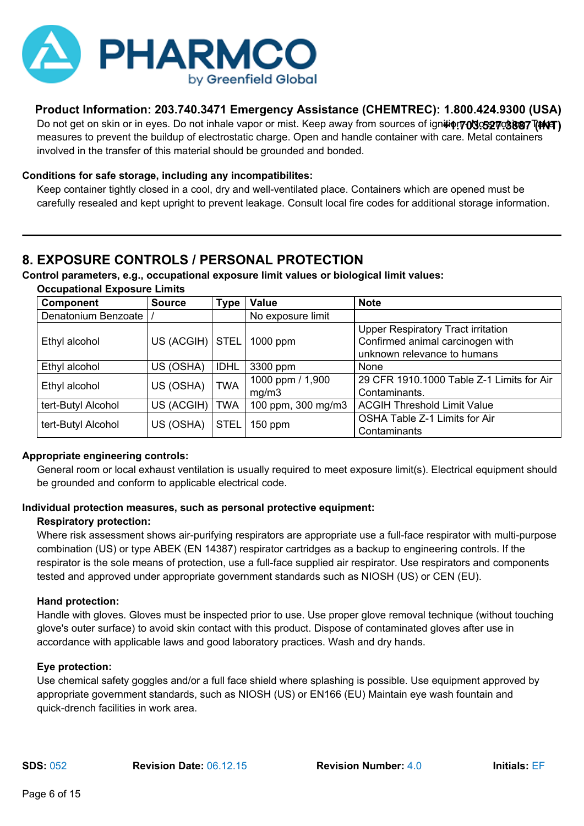

Do not get on skin or in eyes. Do not inhale vapor or mist. Keep away from sources of ign**itiφ!70l3:527:3887 [徘臼 )** measures to prevent the buildup of electrostatic charge. Open and handle container with care. Metal containers involved in the transfer of this material should be grounded and bonded.

#### **Conditions for safe storage, including any incompatibilites:**

Keep container tightly closed in a cool, dry and well-ventilated place. Containers which are opened must be carefully resealed and kept upright to prevent leakage. Consult local fire codes for additional storage information.

### **8. EXPOSURE CONTROLS / PERSONAL PROTECTION**

**Control parameters, e.g., occupational exposure limit values or biological limit values:**

| Component           | <b>Source</b>     | Type        | <b>Value</b>       | <b>Note</b>                               |
|---------------------|-------------------|-------------|--------------------|-------------------------------------------|
| Denatonium Benzoate |                   |             | No exposure limit  |                                           |
|                     |                   |             |                    | <b>Upper Respiratory Tract irritation</b> |
| Ethyl alcohol       | US (ACGIH)   STEL |             | $1000$ ppm         | Confirmed animal carcinogen with          |
|                     |                   |             |                    | unknown relevance to humans               |
| Ethyl alcohol       | US (OSHA)         | <b>IDHL</b> | 3300 ppm           | None                                      |
| Ethyl alcohol       | US (OSHA)         | <b>TWA</b>  | 1000 ppm / 1,900   | 29 CFR 1910.1000 Table Z-1 Limits for Air |
|                     |                   |             | mg/m3              | Contaminants.                             |
| tert-Butyl Alcohol  | US (ACGIH)        | <b>TWA</b>  | 100 ppm, 300 mg/m3 | <b>ACGIH Threshold Limit Value</b>        |
| tert-Butyl Alcohol  | US (OSHA)         | <b>STEL</b> | $150$ ppm          | OSHA Table Z-1 Limits for Air             |
|                     |                   |             |                    | Contaminants                              |

#### **Occupational Exposure Limits**

#### **Appropriate engineering controls:**

General room or local exhaust ventilation is usually required to meet exposure limit(s). Electrical equipment should be grounded and conform to applicable electrical code.

#### **Individual protection measures, such as personal protective equipment:**

#### **Respiratory protection:**

Where risk assessment shows air-purifying respirators are appropriate use a full-face respirator with multi-purpose combination (US) or type ABEK (EN 14387) respirator cartridges as a backup to engineering controls. If the respirator is the sole means of protection, use a full-face supplied air respirator. Use respirators and components tested and approved under appropriate government standards such as NIOSH (US) or CEN (EU).

#### **Hand protection:**

Handle with gloves. Gloves must be inspected prior to use. Use proper glove removal technique (without touching glove's outer surface) to avoid skin contact with this product. Dispose of contaminated gloves after use in accordance with applicable laws and good laboratory practices. Wash and dry hands.

#### **Eye protection:**

Use chemical safety goggles and/or a full face shield where splashing is possible. Use equipment approved by appropriate government standards, such as NIOSH (US) or EN166 (EU) Maintain eye wash fountain and quick-drench facilities in work area.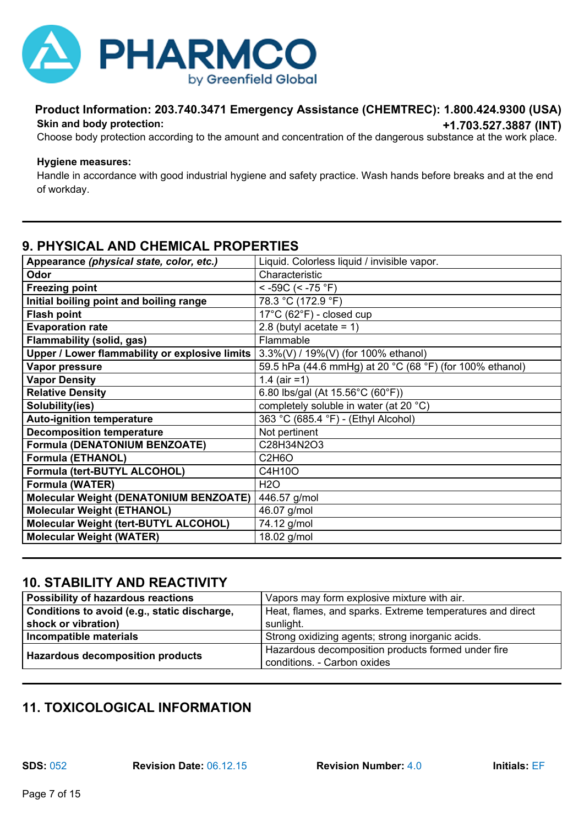

#### **Product Information: 203.740.3471 Emergency Assistance (CHEMTREC): 1.800.424.9300 (USA) +1.703.527.3887 (INT) Skin and body protection:**

Choose body protection according to the amount and concentration of the dangerous substance at the work place.

#### **Hygiene measures:**

Handle in accordance with good industrial hygiene and safety practice. Wash hands before breaks and at the end of workday.

### **9. PHYSICAL AND CHEMICAL PROPERTIES**

| Appearance (physical state, color, etc.)       | Liquid. Colorless liquid / invisible vapor.              |
|------------------------------------------------|----------------------------------------------------------|
| Odor                                           | Characteristic                                           |
| <b>Freezing point</b>                          | < -59C (< -75 °F)                                        |
| Initial boiling point and boiling range        | 78.3 °C (172.9 °F)                                       |
| <b>Flash point</b>                             | $17^{\circ}$ C (62 $^{\circ}$ F) - closed cup            |
| <b>Evaporation rate</b>                        | 2.8 (butyl acetate = $1$ )                               |
| <b>Flammability (solid, gas)</b>               | Flammable                                                |
| Upper / Lower flammability or explosive limits | 3.3%(V) / 19%(V) (for 100% ethanol)                      |
| Vapor pressure                                 | 59.5 hPa (44.6 mmHg) at 20 °C (68 °F) (for 100% ethanol) |
| <b>Vapor Density</b>                           | 1.4 (air =1)                                             |
| <b>Relative Density</b>                        | 6.80 lbs/gal (At $15.56^{\circ}$ C (60 $^{\circ}$ F))    |
| Solubility(ies)                                | completely soluble in water (at 20 °C)                   |
| <b>Auto-ignition temperature</b>               | 363 °C (685.4 °F) - (Ethyl Alcohol)                      |
| <b>Decomposition temperature</b>               | Not pertinent                                            |
| Formula (DENATONIUM BENZOATE)                  | C28H34N2O3                                               |
| <b>Formula (ETHANOL)</b>                       | C <sub>2</sub> H <sub>6</sub> O                          |
| Formula (tert-BUTYL ALCOHOL)                   | C4H10O                                                   |
| <b>Formula (WATER)</b>                         | H2O                                                      |
| <b>Molecular Weight (DENATONIUM BENZOATE)</b>  | 446.57 g/mol                                             |
| <b>Molecular Weight (ETHANOL)</b>              | 46.07 g/mol                                              |
| <b>Molecular Weight (tert-BUTYL ALCOHOL)</b>   | 74.12 g/mol                                              |
| <b>Molecular Weight (WATER)</b>                | 18.02 g/mol                                              |

### **10. STABILITY AND REACTIVITY**

| <b>Possibility of hazardous reactions</b>    | Vapors may form explosive mixture with air.                                       |
|----------------------------------------------|-----------------------------------------------------------------------------------|
| Conditions to avoid (e.g., static discharge, | Heat, flames, and sparks. Extreme temperatures and direct                         |
| shock or vibration)                          | sunlight.                                                                         |
| Incompatible materials                       | Strong oxidizing agents; strong inorganic acids.                                  |
| <b>Hazardous decomposition products</b>      | Hazardous decomposition products formed under fire<br>conditions. - Carbon oxides |

### **11. TOXICOLOGICAL INFORMATION**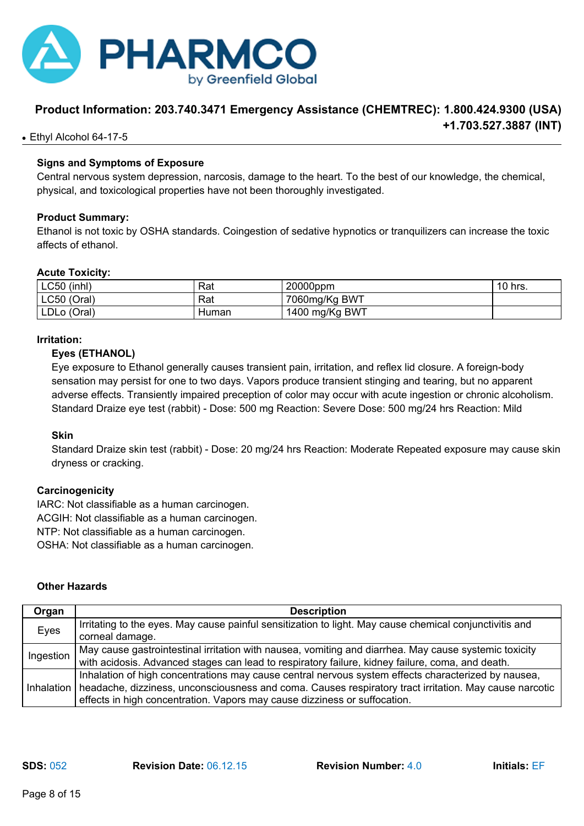

### **Product Information: 203.740.3471 Emergency Assistance (CHEMTREC): 1.800.424.9300 (USA) +1.703.527.3887 (INT)**

• Ethyl Alcohol 64-17-5

#### **Signs and Symptoms of Exposure**

Central nervous system depression, narcosis, damage to the heart. To the best of our knowledge, the chemical, physical, and toxicological properties have not been thoroughly investigated.

#### **Product Summary:**

Ethanol is not toxic by OSHA standards. Coingestion of sedative hypnotics or tranquilizers can increase the toxic affects of ethanol.

#### **Acute Toxicity:**

| LC50 (inhl) | Rat   | 20000ppm       | $10$ hrs. |
|-------------|-------|----------------|-----------|
| LC50 (Oral) | Rat   | 7060mg/Kg BWT  |           |
| LDLo (Oral) | Human | 1400 mg/Kg BWT |           |

#### **Irritation:**

#### **Eyes (ETHANOL)**

Eye exposure to Ethanol generally causes transient pain, irritation, and reflex lid closure. A foreign-body sensation may persist for one to two days. Vapors produce transient stinging and tearing, but no apparent adverse effects. Transiently impaired preception of color may occur with acute ingestion or chronic alcoholism. Standard Draize eye test (rabbit) - Dose: 500 mg Reaction: Severe Dose: 500 mg/24 hrs Reaction: Mild

#### **Skin**

Standard Draize skin test (rabbit) - Dose: 20 mg/24 hrs Reaction: Moderate Repeated exposure may cause skin dryness or cracking.

#### **Carcinogenicity**

IARC: Not classifiable as a human carcinogen. ACGIH: Not classifiable as a human carcinogen. NTP: Not classifiable as a human carcinogen. OSHA: Not classifiable as a human carcinogen.

#### **Other Hazards**

| Organ     | <b>Description</b>                                                                                                  |
|-----------|---------------------------------------------------------------------------------------------------------------------|
| Eyes      | Irritating to the eyes. May cause painful sensitization to light. May cause chemical conjunctivitis and             |
|           | corneal damage.                                                                                                     |
| Ingestion | May cause gastrointestinal irritation with nausea, vomiting and diarrhea. May cause systemic toxicity               |
|           | with acidosis. Advanced stages can lead to respiratory failure, kidney failure, coma, and death.                    |
|           | Inhalation of high concentrations may cause central nervous system effects characterized by nausea,                 |
|           | Inhalation   headache, dizziness, unconsciousness and coma. Causes respiratory tract irritation. May cause narcotic |
|           | effects in high concentration. Vapors may cause dizziness or suffocation.                                           |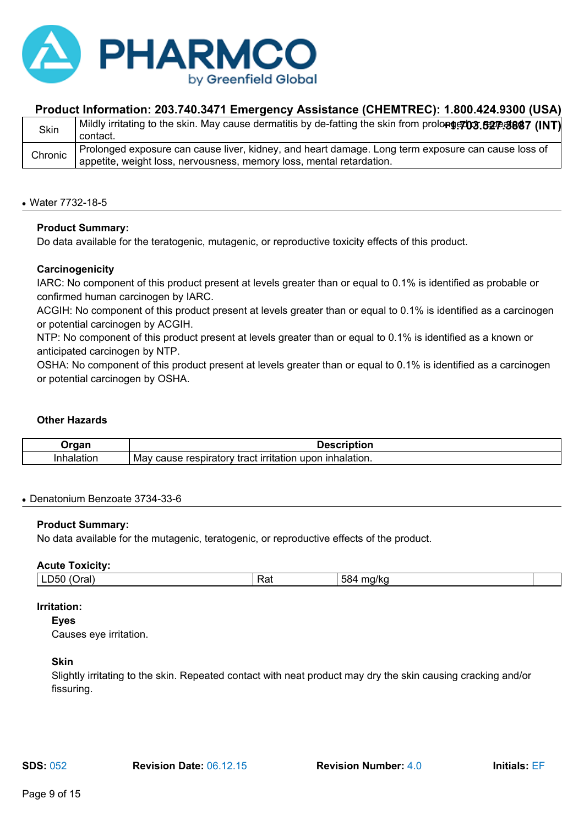

| Skin    | Mildly irritating to the skin. May cause dermatitis by de-fatting the skin from prolonge 703.527 3687 (INT)<br>contact.                                                    |
|---------|----------------------------------------------------------------------------------------------------------------------------------------------------------------------------|
| Chronic | Prolonged exposure can cause liver, kidney, and heart damage. Long term exposure can cause loss of<br>appetite, weight loss, nervousness, memory loss, mental retardation. |

#### ● Water 7732-18-5

#### **Product Summary:**

Do data available for the teratogenic, mutagenic, or reproductive toxicity effects of this product.

#### **Carcinogenicity**

IARC: No component of this product present at levels greater than or equal to 0.1% is identified as probable or confirmed human carcinogen by IARC.

ACGIH: No component of this product present at levels greater than or equal to 0.1% is identified as a carcinogen or potential carcinogen by ACGIH.

NTP: No component of this product present at levels greater than or equal to 0.1% is identified as a known or anticipated carcinogen by NTP.

OSHA: No component of this product present at levels greater than or equal to 0.1% is identified as a carcinogen or potential carcinogen by OSHA.

#### **Other Hazards**

| 1raan<br>uai          | 'intian<br>. וטוי<br>--                                                                                      |  |
|-----------------------|--------------------------------------------------------------------------------------------------------------|--|
| こいへいへいへい<br>naiation. | halation.<br>Mav<br>tract<br><b>urritation</b><br>.<br>upon<br>ınha<br>nır<br>----<br>cause<br>rest<br>atorv |  |

#### • Denatonium Benzoate 3734-33-6

#### **Product Summary:**

No data available for the mutagenic, teratogenic, or reproductive effects of the product.

#### **Acute Toxicity:**

| ---------------             |     |                                   |  |
|-----------------------------|-----|-----------------------------------|--|
| iro.<br>ו וריי<br>лаг<br>-- | Rat | --<br>11.0<br>ገለሩ<br>יוטו וע<br>. |  |
|                             |     |                                   |  |

#### **Irritation:**

#### **Eyes**

Causes eye irritation.

#### **Skin**

Slightly irritating to the skin. Repeated contact with neat product may dry the skin causing cracking and/or fissuring.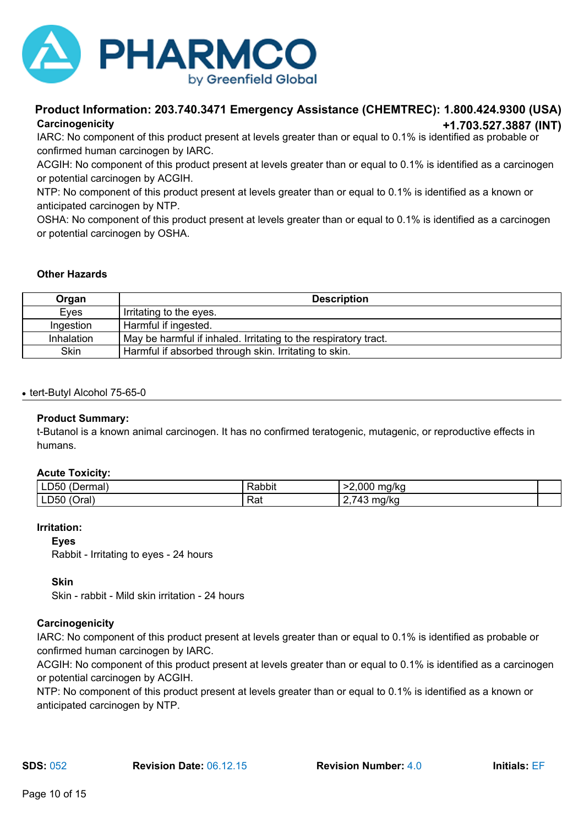

#### **Product Information: 203.740.3471 Emergency Assistance (CHEMTREC): 1.800.424.9300 (USA) +1.703.527.3887 (INT) Carcinogenicity**

IARC: No component of this product present at levels greater than or equal to 0.1% is identified as probable or confirmed human carcinogen by IARC.

ACGIH: No component of this product present at levels greater than or equal to 0.1% is identified as a carcinogen or potential carcinogen by ACGIH.

NTP: No component of this product present at levels greater than or equal to 0.1% is identified as a known or anticipated carcinogen by NTP.

OSHA: No component of this product present at levels greater than or equal to 0.1% is identified as a carcinogen or potential carcinogen by OSHA.

#### **Other Hazards**

| Organ      | <b>Description</b>                                              |  |
|------------|-----------------------------------------------------------------|--|
| Eves       | Irritating to the eyes.                                         |  |
| Ingestion  | Harmful if ingested.                                            |  |
| Inhalation | May be harmful if inhaled. Irritating to the respiratory tract. |  |
| Skin       | Harmful if absorbed through skin. Irritating to skin.           |  |

#### ● tert-Butyl Alcohol 75-65-0

#### **Product Summary:**

t-Butanol is a known animal carcinogen. It has no confirmed teratogenic, mutagenic, or reproductive effects in humans.

#### **Acute Toxicity:**

| DEC<br>$\sqrt{2}$<br>$\cdots$<br>∪erma⊧<br>LDOU | .<br>וטנ | $\ldots$ malks<br>noo<br><u>.</u>        |  |
|-------------------------------------------------|----------|------------------------------------------|--|
| $\cdot$<br>LD50<br>Oral                         | Rat      | mg/kg<br>$\overline{\phantom{a}}$<br>1 w |  |

#### **Irritation:**

**Eyes**

Rabbit - Irritating to eyes - 24 hours

#### **Skin**

Skin - rabbit - Mild skin irritation - 24 hours

#### **Carcinogenicity**

IARC: No component of this product present at levels greater than or equal to 0.1% is identified as probable or confirmed human carcinogen by IARC.

ACGIH: No component of this product present at levels greater than or equal to 0.1% is identified as a carcinogen or potential carcinogen by ACGIH.

NTP: No component of this product present at levels greater than or equal to 0.1% is identified as a known or anticipated carcinogen by NTP.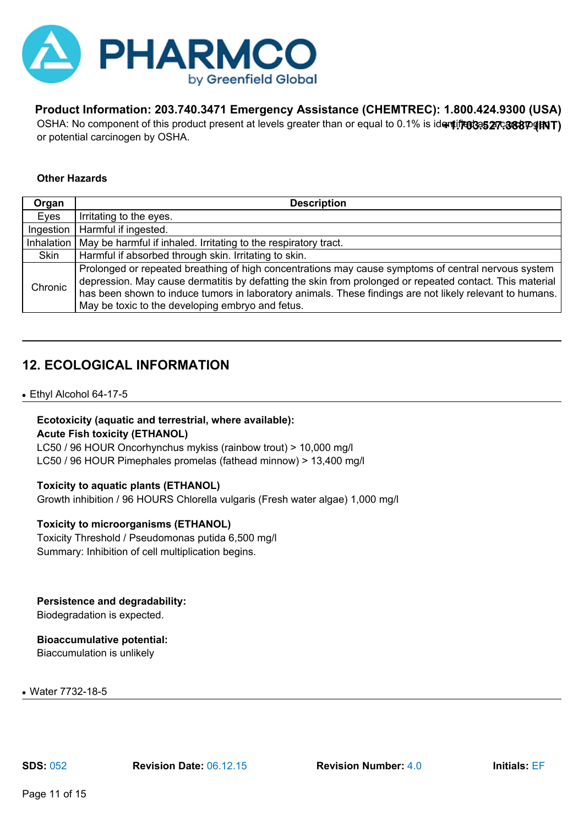

OSHA: No component of this product present at levels greater than or equal to 0.1% is id**entif<del>ic</del>otes 2703881**79**4NT**) or potential carcinogen by OSHA.

#### **Other Hazards**

| Organ     | <b>Description</b>                                                                                                                                                                                                                                                                                                                                                              |  |
|-----------|---------------------------------------------------------------------------------------------------------------------------------------------------------------------------------------------------------------------------------------------------------------------------------------------------------------------------------------------------------------------------------|--|
| Eyes      | Irritating to the eyes.                                                                                                                                                                                                                                                                                                                                                         |  |
| Ingestion | Harmful if ingested.                                                                                                                                                                                                                                                                                                                                                            |  |
|           | Inhalation   May be harmful if inhaled. Irritating to the respiratory tract.                                                                                                                                                                                                                                                                                                    |  |
| Skin      | Harmful if absorbed through skin. Irritating to skin.                                                                                                                                                                                                                                                                                                                           |  |
| Chronic   | Prolonged or repeated breathing of high concentrations may cause symptoms of central nervous system<br>depression. May cause dermatitis by defatting the skin from prolonged or repeated contact. This material<br>has been shown to induce tumors in laboratory animals. These findings are not likely relevant to humans.<br>May be toxic to the developing embryo and fetus. |  |

### **12. ECOLOGICAL INFORMATION**

#### • Ethyl Alcohol 64-17-5

# **Ecotoxicity (aquatic and terrestrial, where available):**

### **Acute Fish toxicity (ETHANOL)**

LC50 / 96 HOUR Oncorhynchus mykiss (rainbow trout) > 10,000 mg/l LC50 / 96 HOUR Pimephales promelas (fathead minnow) > 13,400 mg/l

#### **Toxicity to aquatic plants (ETHANOL)**

Growth inhibition / 96 HOURS Chlorella vulgaris (Fresh water algae) 1,000 mg/l

#### **Toxicity to microorganisms (ETHANOL)**

Toxicity Threshold / Pseudomonas putida 6,500 mg/l Summary: Inhibition of cell multiplication begins.

#### **Persistence and degradability:**

Biodegradation is expected.

#### **Bioaccumulative potential:**

Biaccumulation is unlikely

● Water 7732-18-5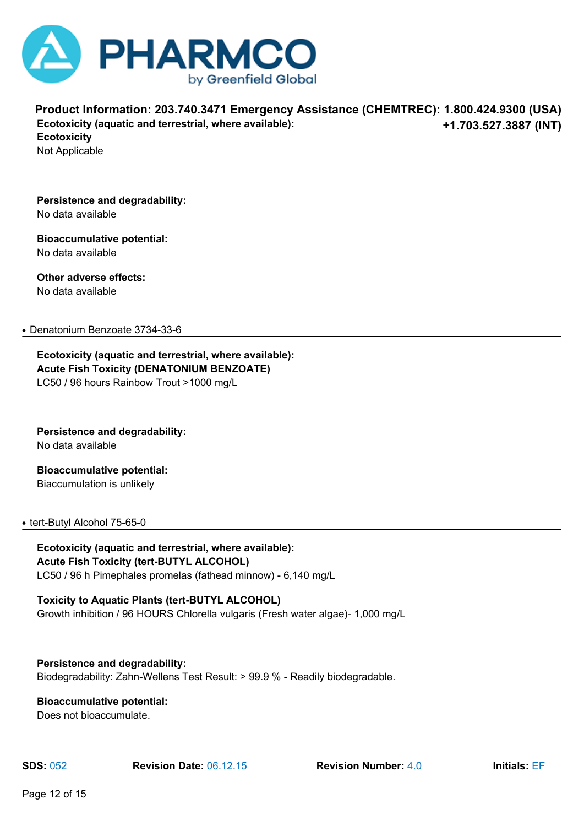

**Product Information: 203.740.3471 Emergency Assistance (CHEMTREC): 1.800.424.9300 (USA) +1.703.527.3887 (INT) Ecotoxicity (aquatic and terrestrial, where available): Ecotoxicity** Not Applicable

**Persistence and degradability:** No data available

**Bioaccumulative potential:** No data available

**Other adverse effects:** No data available

#### ● Denatonium Benzoate 3734-33-6

**Ecotoxicity (aquatic and terrestrial, where available): Acute Fish Toxicity (DENATONIUM BENZOATE)** LC50 / 96 hours Rainbow Trout >1000 mg/L

**Persistence and degradability:** No data available

**Bioaccumulative potential:** Biaccumulation is unlikely

#### ● tert-Butyl Alcohol 75-65-0

**Ecotoxicity (aquatic and terrestrial, where available): Acute Fish Toxicity (tert-BUTYL ALCOHOL)** LC50 / 96 h Pimephales promelas (fathead minnow) - 6,140 mg/L

#### **Toxicity to Aquatic Plants (tert-BUTYL ALCOHOL)**

Growth inhibition / 96 HOURS Chlorella vulgaris (Fresh water algae)- 1,000 mg/L

#### **Persistence and degradability:**

Biodegradability: Zahn-Wellens Test Result: > 99.9 % - Readily biodegradable.

#### **Bioaccumulative potential:**

Does not bioaccumulate.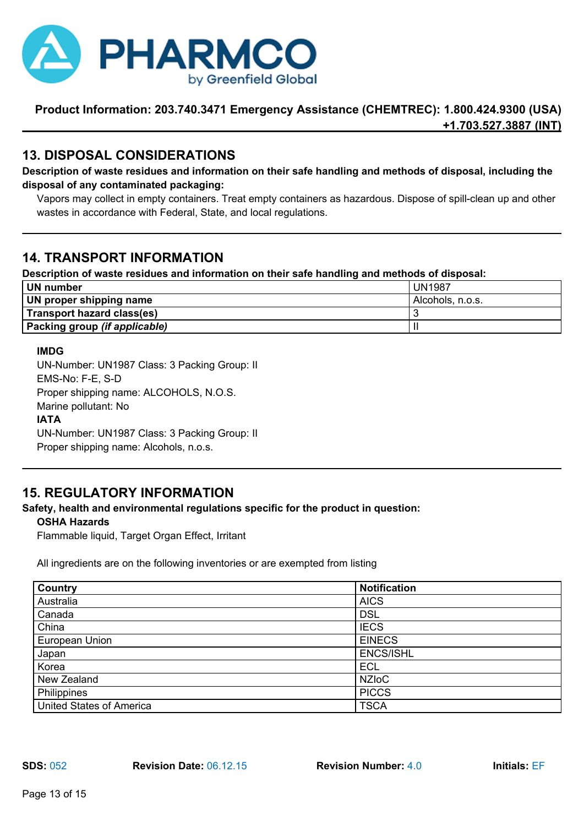

### **Product Information: 203.740.3471 Emergency Assistance (CHEMTREC): 1.800.424.9300 (USA) +1.703.527.3887 (INT)**

### **13. DISPOSAL CONSIDERATIONS**

**Description of waste residues and information on their safe handling and methods of disposal, including the disposal of any contaminated packaging:**

Vapors may collect in empty containers. Treat empty containers as hazardous. Dispose of spill-clean up and other wastes in accordance with Federal, State, and local regulations.

### **14. TRANSPORT INFORMATION**

#### **Description of waste residues and information on their safe handling and methods of disposal:**

| UN number                     | <b>UN1987</b>    |
|-------------------------------|------------------|
| UN proper shipping name       | Alcohols, n.o.s. |
| Transport hazard class(es)    |                  |
| Packing group (if applicable) |                  |

#### **IMDG**

UN-Number: UN1987 Class: 3 Packing Group: II EMS-No: F-E, S-D Proper shipping name: ALCOHOLS, N.O.S. Marine pollutant: No **IATA** UN-Number: UN1987 Class: 3 Packing Group: II

Proper shipping name: Alcohols, n.o.s.

### **15. REGULATORY INFORMATION**

#### **Safety, health and environmental regulations specific for the product in question:**

#### **OSHA Hazards**

Flammable liquid, Target Organ Effect, Irritant

All ingredients are on the following inventories or are exempted from listing

| Country                  | <b>Notification</b> |
|--------------------------|---------------------|
| Australia                | <b>AICS</b>         |
| Canada                   | <b>DSL</b>          |
| China                    | <b>IECS</b>         |
| European Union           | <b>EINECS</b>       |
| Japan                    | <b>ENCS/ISHL</b>    |
| Korea                    | <b>ECL</b>          |
| New Zealand              | <b>NZIOC</b>        |
| Philippines              | <b>PICCS</b>        |
| United States of America | <b>TSCA</b>         |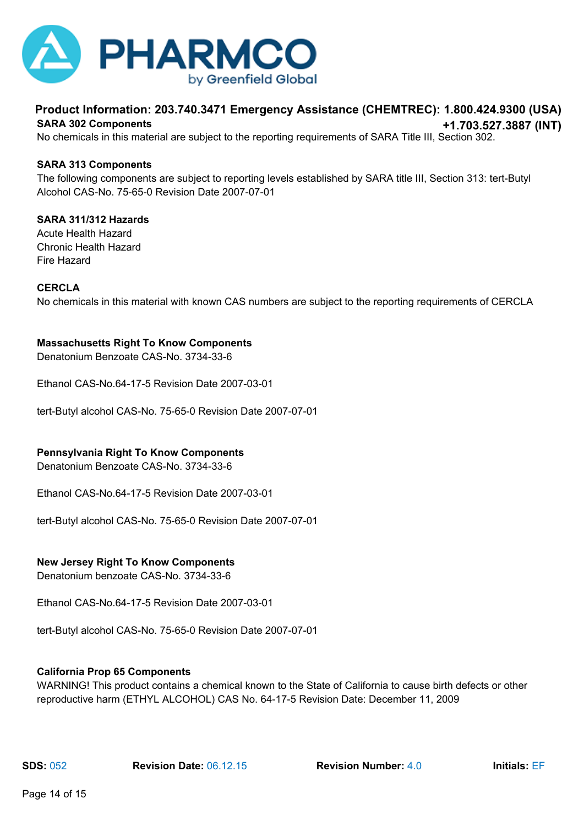

#### **Product Information: 203.740.3471 Emergency Assistance (CHEMTREC): 1.800.424.9300 (USA) +1.703.527.3887 (INT) SARA 302 Components**

No chemicals in this material are subject to the reporting requirements of SARA Title III, Section 302.

#### **SARA 313 Components**

The following components are subject to reporting levels established by SARA title III, Section 313: tert-Butyl Alcohol CAS-No. 75-65-0 Revision Date 2007-07-01

#### **SARA 311/312 Hazards**

Acute Health Hazard Chronic Health Hazard Fire Hazard

#### **CERCLA**

No chemicals in this material with known CAS numbers are subject to the reporting requirements of CERCLA

#### **Massachusetts Right To Know Components**

Denatonium Benzoate CAS-No. 3734-33-6

Ethanol CAS-No.64-17-5 Revision Date 2007-03-01

tert-Butyl alcohol CAS-No. 75-65-0 Revision Date 2007-07-01

#### **Pennsylvania Right To Know Components**

Denatonium Benzoate CAS-No. 3734-33-6

Ethanol CAS-No.64-17-5 Revision Date 2007-03-01

tert-Butyl alcohol CAS-No. 75-65-0 Revision Date 2007-07-01

#### **New Jersey Right To Know Components**

Denatonium benzoate CAS-No. 3734-33-6

Ethanol CAS-No.64-17-5 Revision Date 2007-03-01

tert-Butyl alcohol CAS-No. 75-65-0 Revision Date 2007-07-01

#### **California Prop 65 Components**

WARNING! This product contains a chemical known to the State of California to cause birth defects or other reproductive harm (ETHYL ALCOHOL) CAS No. 64-17-5 Revision Date: December 11, 2009